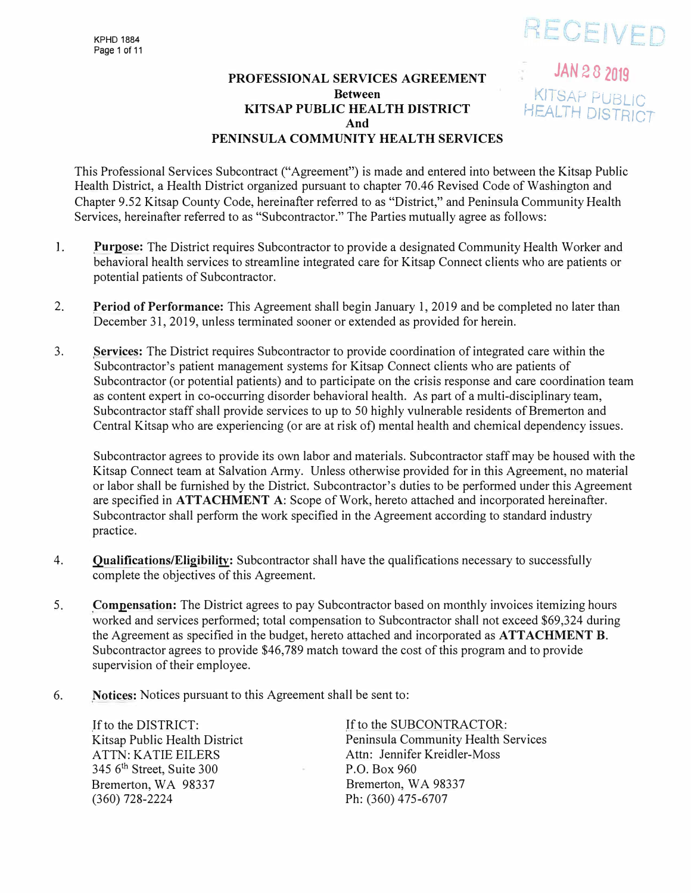# RECEIVED

JAN 2 8 2019

KITSAP PUBLIC<br>HEALTH DISTRICT

# **PROFESSIONAL SERVICES AGREEMENT Between KITSAP PUBLIC HEALTH DISTRICT And PENINSULA COMMUNITY HEALTH SERVICES**

This Professional Services Subcontract ("Agreement") is made and entered into between the Kitsap Public Health District, a Health District organized pursuant to chapter 70.46 Revised Code of Washington and Chapter 9.52 Kitsap County Code, hereinafter referred to as "District," and Peninsula Community Health Services, hereinafter referred to as "Subcontractor." The Parties mutually agree as follows:

- I. **Purpose:** The District requires Subcontractor to provide a designated Community Health Worker and behavioral health services to streamline integrated care for Kitsap Connect clients who are patients or potential patients of Subcontractor.
- 2. **Period of Performance:** This Agreement shall begin January 1, 2019 and be completed no later than December 31, 2019, unless terminated sooner or extended as provided for herein.
- 3. **Services:** The District requires Subcontractor to provide coordination of integrated care within the Subcontractor's patient management systems for Kitsap Connect clients who are patients of Subcontractor (or potential patients) and to participate on the crisis response and care coordination team as content expert in co-occurring disorder behavioral health. As part of a multi-disciplinary team, Subcontractor staff shall provide services to up to 50 highly vulnerable residents of Bremerton and Central Kitsap who are experiencing (or are at risk of) mental health and chemical dependency issues.

Subcontractor agrees to provide its own labor and materials. Subcontractor staff may be housed with the Kitsap Connect team at Salvation Army. Unless otherwise provided for in this Agreement, no material or labor shall be furnished by the District. Subcontractor's duties to be performed under this Agreement are specified in **ATTACHMENT A:** Scope of Work, hereto attached and incorporated hereinafter. Subcontractor shall perform the work specified in the Agreement according to standard industry practice.

- 4. **Qualifications/Eligibility:** Subcontractor shall have the qualifications necessary to successfully complete the objectives of this Agreement.
- 5. **Compensation:** The District agrees to pay Subcontractor based on monthly invoices itemizing hours worked and services performed; total compensation to Subcontractor shall not exceed \$69,324 during the Agreement as specified in the budget, hereto attached and incorporated as **ATTACHMENT B.**  Subcontractor agrees to provide \$46,789 match toward the cost of this program and to provide supervision of their employee.
- 6. **Notices:** Notices pursuant to this Agreement shall be sent to:

If to the DISTRICT: Kitsap Public Health District ATTN: KA TIE EILERS 345 6<sup>th</sup> Street, Suite 300 Bremerton, WA 98337 (360) 728-2224

If to the SUBCONTRACTOR: Peninsula Community Health Services Attn: Jennifer Kreidler-Moss P.O. Box 960 Bremerton, WA 98337 Ph: (360) 475-6707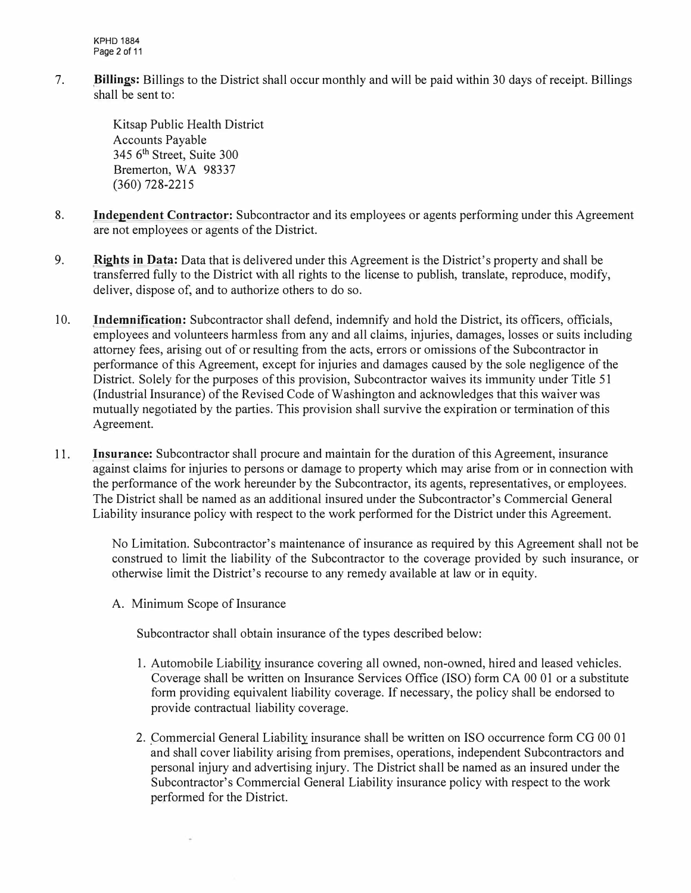KPHD 1884 Page 2 of 11

7. **Billings:** Billings to the District shall occur monthly and will be paid within 30 days of receipt. Billings shall be sent to:

> Kitsap Public Health District Accounts Payable 345 6<sup>th</sup> Street, Suite 300 Bremerton, WA 98337 (360) 728-2215

- 8. **Independent Contractor:** Subcontractor and its employees or agents performing under this Agreement are not employees or agents of the District.
- 9. **Rights in Data:** Data that is delivered under this Agreement is the District's property and shall be transferred fully to the District with all rights to the license to publish, translate, reproduce, modify, deliver, dispose of, and to authorize others to do so.
- 10. **Indemnification:** Subcontractor shall defend, indemnify and hold the District, its officers, officials, employees and volunteers harmless from any and all claims, injuries, damages, losses or suits including attorney fees, arising out of or resulting from the acts, errors or omissions of the Subcontractor in performance of this Agreement, except for injuries and damages caused by the sole negligence of the District. Solely for the purposes of this provision, Subcontractor waives its immunity under Title 51 (Industrial Insurance) of the Revised Code of Washington and acknowledges that this waiver was mutually negotiated by the parties. This provision shall survive the expiration or termination of this Agreement.
- 11. **Insurance:** Subcontractor shall procure and maintain for the duration of this Agreement, insurance against claims for injuries to persons or damage to property which may arise from or in connection with the performance of the work hereunder by the Subcontractor, its agents, representatives, or employees. The District shall be named as an additional insured under the Subcontractor's Commercial General Liability insurance policy with respect to the work performed for the District under this Agreement.

No Limitation. Subcontractor's maintenance of insurance as required by this Agreement shall not be construed to limit the liability of the Subcontractor to the coverage provided by such insurance, or otherwise limit the District's recourse to any remedy available at law or in equity.

A. Minimum Scope of Insurance

Subcontractor shall obtain insurance of the types described below:

- 1. Automobile Liability insurance covering all owned, non-owned, hired and leased vehicles. Coverage shall be written on Insurance Services Office (ISO) form CA 00 01 or a substitute form providing equivalent liability coverage. If necessary, the policy shall be endorsed to provide contractual liability coverage.
- 2. Commercial General Liability insurance shall be written on ISO occurrence form CG 00 01 and shall cover liability arising from premises, operations, independent Subcontractors and personal injury and advertising injury. The District shall be named as an insured under the Subcontractor's Commercial General Liability insurance policy with respect to the work performed for the District.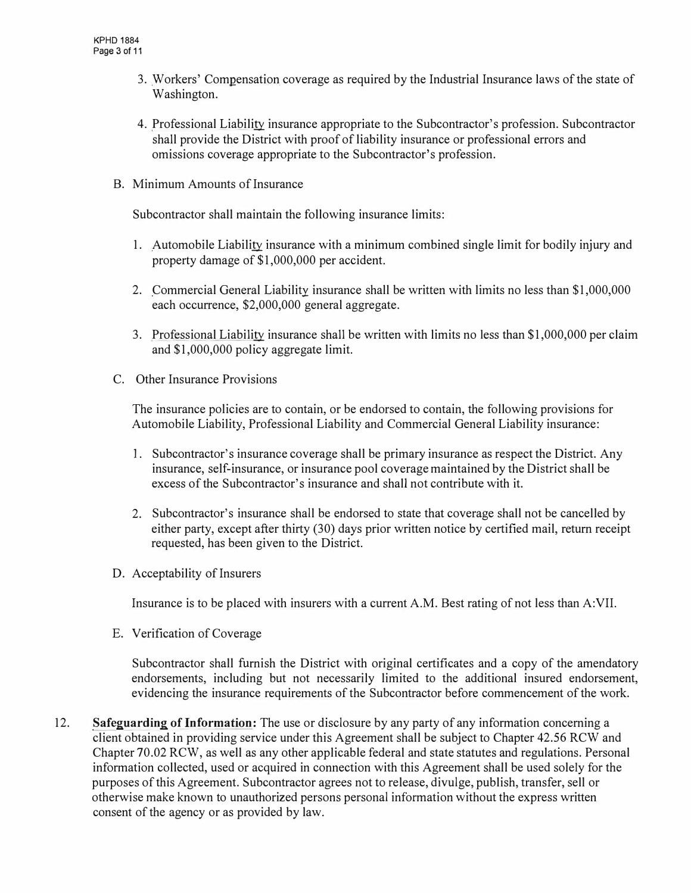- 3. Workers' Compensation coverage as required by the Industrial Insurance laws of the state of Washington.
- 4. Professional Liability insurance appropriate to the Subcontractor's profession. Subcontractor shall provide the District with proof of liability insurance or professional errors and omissions coverage appropriate to the Subcontractor's profession.
- B. Minimum Amounts of Insurance

Subcontractor shall maintain the following insurance limits:

- 1. Automobile Liability insurance with a minimum combined single limit for bodily injury and property damage of \$1,000,000 per accident.
- 2. Commercial General Liability insurance shall be written with limits no less than \$1,000,000 each occurrence, \$2,000,000 general aggregate.
- 3. Professional Liability insurance shall be written with limits no less than \$1,000,000 per claim and \$1,000,000 policy aggregate limit.
- C. Other Insurance Provisions

The insurance policies are to contain, or be endorsed to contain, the following provisions for Automobile Liability, Professional Liability and Commercial General Liability insurance:

- 1. Subcontractor's insurance coverage shall be primary insurance as respect the District. Any insurance, self-insurance, or insurance pool coverage maintained by the District shall be excess of the Subcontractor's insurance and shall not contribute with it.
- 2. Subcontractor's insurance shall be endorsed to state that coverage shall not be cancelled by either party, except after thirty (30) days prior written notice by certified mail, return receipt requested, has been given to the District.
- D. Acceptability of Insurers

Insurance is to be placed with insurers with a current A.M. Best rating of not less than A:VII.

E. Verification of Coverage

Subcontractor shall furnish the District with original certificates and a copy of the amendatory endorsements, including but not necessarily limited to the additional insured endorsement, evidencing the insurance requirements of the Subcontractor before commencement of the work.

12. **Safeguarding of Information:** The use or disclosure by any party of any information concerning a client obtained in providing service under this Agreement shall be subject to Chapter 42.56 RCW and Chapter 70.02 RCW, as well as any other applicable federal and state statutes and regulations. Personal information collected, used or acquired in connection with this Agreement shall be used solely for the purposes of this Agreement. Subcontractor agrees not to release, divulge, publish, transfer, sell or otherwise make known to unauthorized persons personal information without the express written consent of the agency or as provided by law.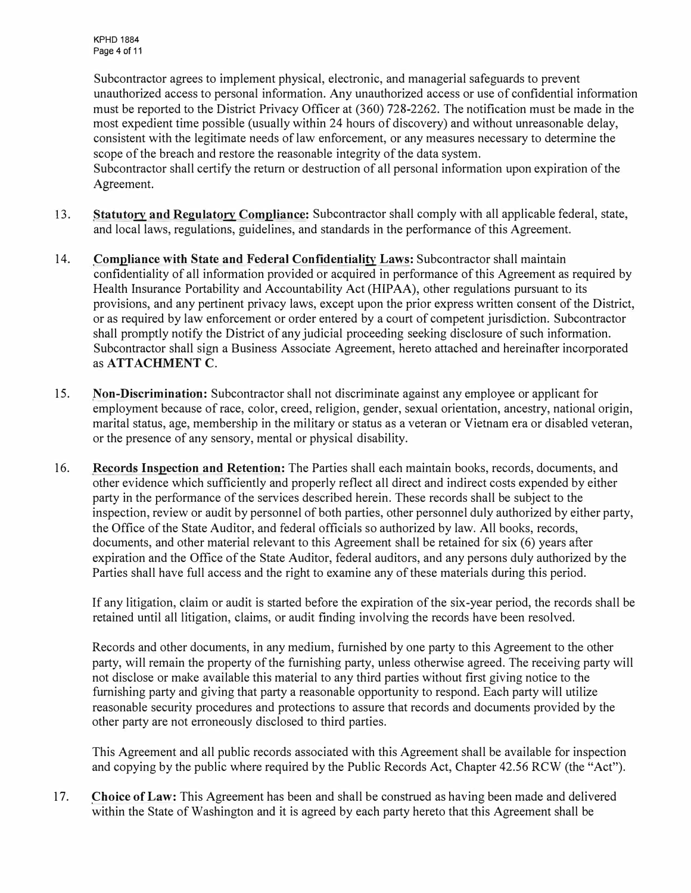Subcontractor agrees to implement physical, electronic, and managerial safeguards to prevent unauthorized access to personal information. Any unauthorized access or use of confidential information must be reported to the District Privacy Officer at (360) 728-2262. The notification must be made in the most expedient time possible (usually within 24 hours of discovery) and without unreasonable delay, consistent with the legitimate needs of law enforcement, or any measures necessary to determine the scope of the breach and restore the reasonable integrity of the data system.

Subcontractor shall certify the return or destruction of all personal information upon expiration of the Agreement.

- 13. **Statutory and Regulatory Compliance:** Subcontractor shall comply with all applicable federal, state, and local laws, regulations, guidelines, and standards in the performance of this Agreement.
- 14. **Compliance with State and Federal Confidentiality Laws:** Subcontractor shall maintain confidentiality of all information provided or acquired in performance of this Agreement as required by Health Insurance Portability and Accountability Act (HIPAA), other regulations pursuant to its provisions, and any pertinent privacy laws, except upon the prior express written consent of the District, or as required by law enforcement or order entered by a court of competent jurisdiction. Subcontractor shall promptly notify the District of any judicial proceeding seeking disclosure of such information. Subcontractor shall sign a Business Associate Agreement, hereto attached and hereinafter incorporated as **ATTACHMENT C.**
- 15. **Non-Discrimination:** Subcontractor shall not discriminate against any employee or applicant for employment because of race, color, creed, religion, gender, sexual orientation, ancestry, national origin, marital status, age, membership in the military or status as a veteran or Vietnam era or disabled veteran, or the presence of any sensory, mental or physical disability.
- 16. **Records Inspection and Retention:** The Parties shall each maintain books, records, documents, and other evidence which sufficiently and properly reflect all direct and indirect costs expended by either party in the performance of the services described herein. These records shall be subject to the inspection, review or audit by personnel of both parties, other personnel duly authorized by either party, the Office of the State Auditor, and federal officials so authorized by law. All books, records, documents, and other material relevant to this Agreement shall be retained for six (6) years after expiration and the Office of the State Auditor, federal auditors, and any persons duly authorized by the Parties shall have full access and the right to examine any of these materials during this period.

If any litigation, claim or audit is started before the expiration of the six-year period, the records shall be retained until all litigation, claims, or audit finding involving the records have been resolved.

Records and other documents, in any medium, furnished by one party to this Agreement to the other party, will remain the property of the furnishing party, unless otherwise agreed. The receiving party will not disclose or make available this material to any third parties without first giving notice to the furnishing party and giving that party a reasonable opportunity to respond. Each party will utilize reasonable security procedures and protections to assure that records and documents provided by the other party are not erroneously disclosed to third parties.

This Agreement and all public records associated with this Agreement shall be available for inspection and copying by the public where required by the Public Records Act, Chapter 42.56 RCW (the "Act").

17. **Choice of Law:** This Agreement has been and shall be construed as having been made and delivered within the State of Washington and it is agreed by each party hereto that this Agreement shall be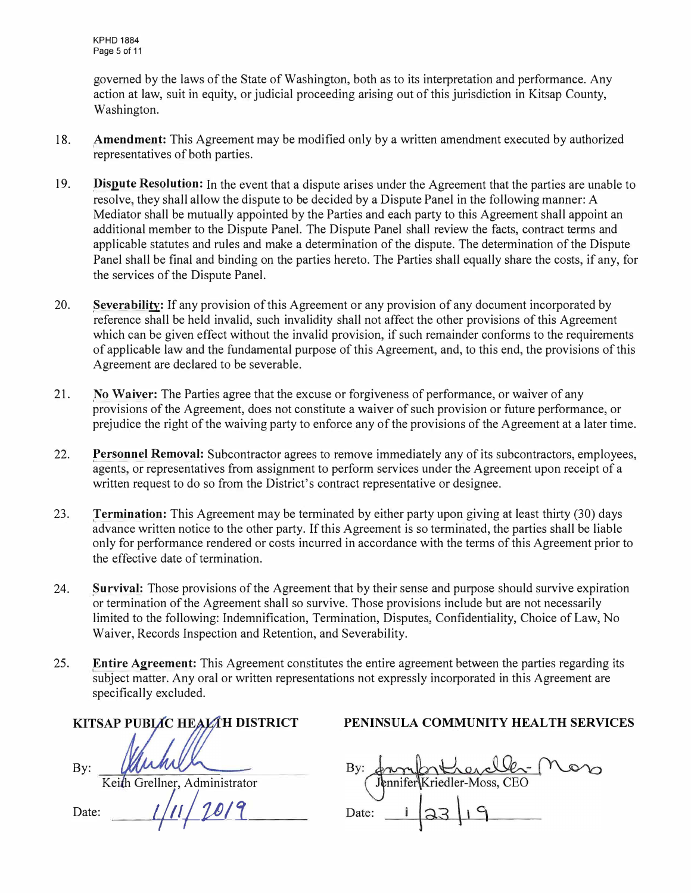governed by the laws of the State of Washington, both as to its interpretation and performance. Any action at law, suit in equity, or judicial proceeding arising out of this jurisdiction in Kitsap County, Washington.

- 18. **Amendment:** This Agreement may be modified only by a written amendment executed by authorized representatives of both parties.
- 19. **Dispute Resolution:** In the event that a dispute arises under the Agreement that the parties are unable to resolve, they shall allow the dispute to be decided by a Dispute Panel in the following manner: A Mediator shall be mutually appointed by the Parties and each party to this Agreement shall appoint an additional member to the Dispute Panel. The Dispute Panel shall review the facts, contract terms and applicable statutes and rules and make a determination of the dispute. The determination of the Dispute Panel shall be final and binding on the parties hereto. The Parties shall equally share the costs, if any, for the services of the Dispute Panel.
- 20. **Severability:** If any provision of this Agreement or any provision of any document incorporated by reference shall be held invalid, such invalidity shall not affect the other provisions of this Agreement which can be given effect without the invalid provision, if such remainder conforms to the requirements of applicable law and the fundamental purpose of this Agreement, and, to this end, the provisions of this Agreement are declared to be severable.
- 21. **No Waiver:** The Parties agree that the excuse or forgiveness of performance, or waiver of any provisions of the Agreement, does not constitute a waiver of such provision or future performance, or prejudice the right of the waiving party to enforce any of the provisions of the Agreement at a later time.
- 22. **Personnel Removal:** Subcontractor agrees to remove immediately any of its subcontractors, employees, agents, or representatives from assignment to perform services under the Agreement upon receipt of a written request to do so from the District's contract representative or designee.
- 23. **Termination:** This Agreement may be terminated by either party upon giving at least thirty (30) days advance written notice to the other party. If this Agreement is so terminated, the parties shall be liable only for performance rendered or costs incurred in accordance with the terms of this Agreement prior to the effective date of termination.
- 24. **Survival:** Those provisions of the Agreement that by their sense and purpose should survive expiration or termination of the Agreement shall so survive. Those provisions include but are not necessarily limited to the following: Indemnification, Termination, Disputes, Confidentiality, Choice of Law, No Waiver, Records Inspection and Retention, and Severability.
- 25. **Entire Agreement:** This Agreement constitutes the entire agreement between the parties regarding its subject matter. Any oral or written representations not expressly incorporated in this Agreement are specifically excluded.

| KITSAP PUBLIC HEALAH DISTRICT        |
|--------------------------------------|
| fuhre                                |
| By:<br>Keith Grellner, Administrator |
|                                      |
| 1201<br>Date:                        |
|                                      |

**PENINSULA COMMUNITY HEALTH SERVICES** 

Employed Compter Moro<br>Tenniferkriedler-Moss, CEO<br>te: 1 23 19 Date: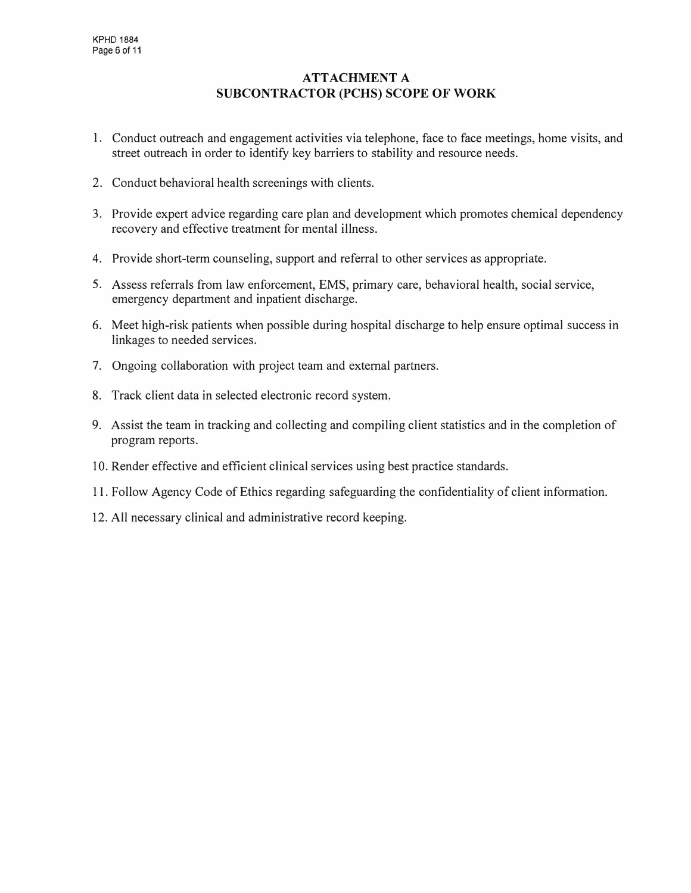# **ATTACHMENT A SUBCONTRACTOR (PCHS) SCOPE OF WORK**

- 1. Conduct outreach and engagement activities via telephone, face to face meetings, home visits, and street outreach in order to identify key barriers to stability and resource needs.
- 2. Conduct behavioral health screenings with clients.
- 3. Provide expert advice regarding care plan and development which promotes chemical dependency recovery and effective treatment for mental illness.
- 4. Provide short-term counseling, support and referral to other services as appropriate.
- 5. Assess referrals from law enforcement, EMS, primary care, behavioral health, social service, emergency department and inpatient discharge.
- 6. Meet high-risk patients when possible during hospital discharge to help ensure optimal success in linkages to needed services.
- 7. Ongoing collaboration with project team and external partners.
- 8. Track client data in selected electronic record system.
- 9. Assist the team in tracking and collecting and compiling client statistics and in the completion of program reports.
- 10. Render effective and efficient clinical services using best practice standards.
- 11. Follow Agency Code of Ethics regarding safeguarding the confidentiality of client information.
- 12. All necessary clinical and administrative record keeping.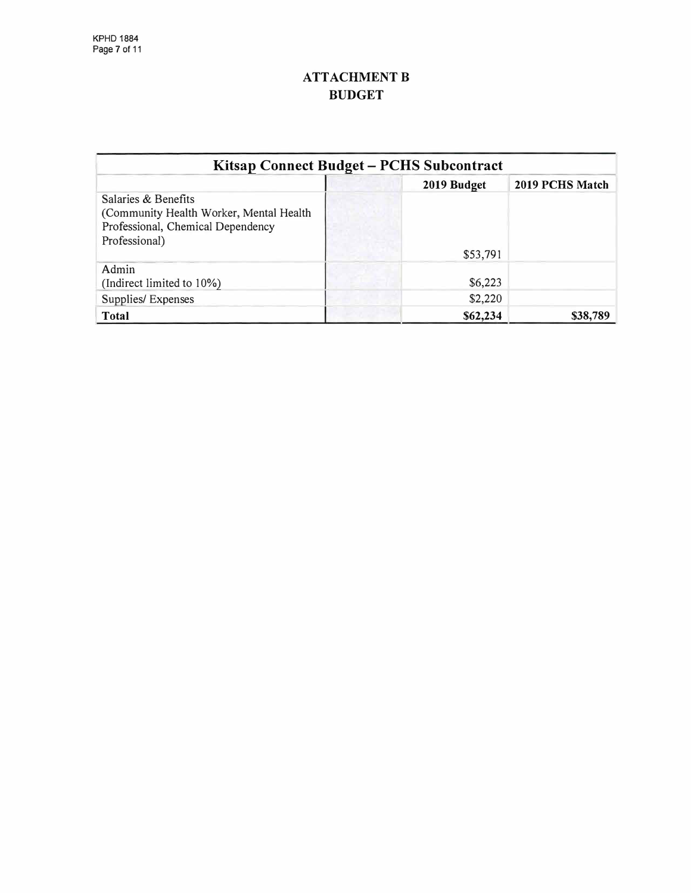# **ATTACHMENT B BUDGET**

| Kitsap Connect Budget - PCHS Subcontract                                                                             |  |             |                 |  |
|----------------------------------------------------------------------------------------------------------------------|--|-------------|-----------------|--|
|                                                                                                                      |  | 2019 Budget | 2019 PCHS Match |  |
| Salaries & Benefits<br>(Community Health Worker, Mental Health<br>Professional, Chemical Dependency<br>Professional) |  | \$53,791    |                 |  |
| Admin<br>(Indirect limited to 10%)                                                                                   |  | \$6,223     |                 |  |
| Supplies/Expenses                                                                                                    |  | \$2,220     |                 |  |
| Total                                                                                                                |  | \$62,234    | \$38,789        |  |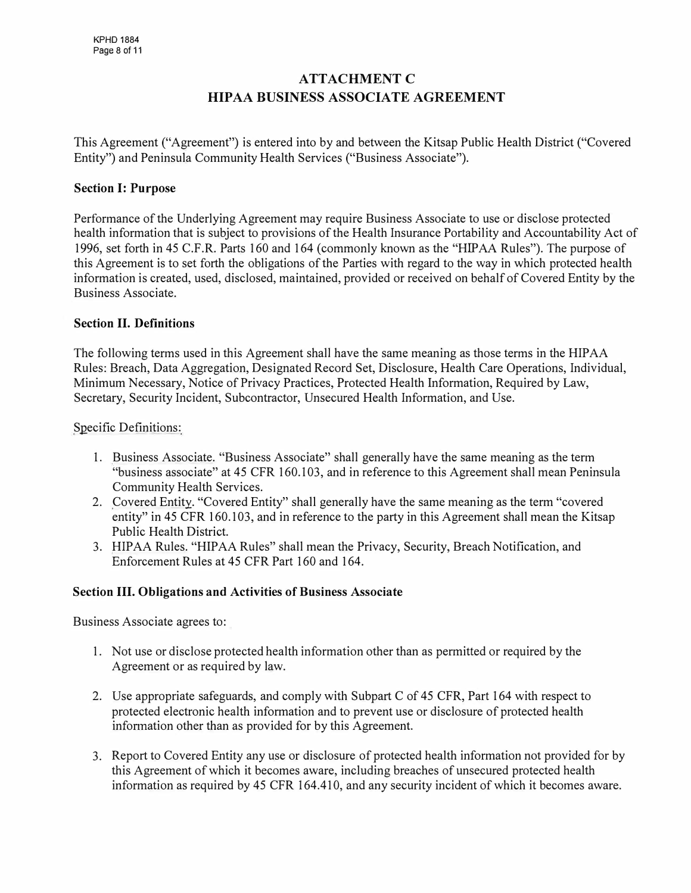# **ATTACHMENT C HIP AA BUSINESS ASSOCIATE AGREEMENT**

This Agreement ("Agreement") is entered into by and between the Kitsap Public Health District ("Covered Entity") and Peninsula Community Health Services ("Business Associate").

## **Section I: Purpose**

Performance of the Underlying Agreement may require Business Associate to use or disclose protected health information that is subject to provisions of the Health Insurance Portability and Accountability Act of 1996, set forth in 45 C.F.R. Parts 160 and 164 (commonly known as the "HIPAA Rules"). The purpose of this Agreement is to set forth the obligations of the Parties with regard to the way in which protected health information is created, used, disclosed, maintained, provided or received on behalf of Covered Entity by the Business Associate.

## **Section II. Definitions**

The following terms used in this Agreement shall have the same meaning as those terms in the HIP AA Rules: Breach, Data Aggregation, Designated Record Set, Disclosure, Health Care Operations, Individual, Minimum Necessary, Notice of Privacy Practices, Protected Health Information, Required by Law, Secretary, Security Incident, Subcontractor, Unsecured Health Information, and Use.

Specific Definitions:

- 1. Business Associate. "Business Associate" shall generally have the same meaning as the term "business associate" at 45 CFR 160.103, and in reference to this Agreement shall mean Peninsula Community Health Services.
- 2. Covered Entity. "Covered Entity" shall generally have the same meaning as the term "covered entity" in 45 CFR 160.103, and in reference to the party in this Agreement shall mean the Kitsap Public Health District.
- 3. HIPAA Rules. "HIPAA Rules" shall mean the Privacy, Security, Breach Notification, and Enforcement Rules at 45 CFR Part 160 and 164.

#### **Section III. Obligations and Activities of Business Associate**

Business Associate agrees to:

- 1. Not use or disclose protected health information other than as permitted or required by the Agreement or as required by law.
- 2. Use appropriate safeguards, and comply with Subpart C of 45 CFR, Part 164 with respect to protected electronic health information and to prevent use or disclosure of protected health information other than as provided for by this Agreement.
- 3. Report to Covered Entity any use or disclosure of protected health information not provided for by this Agreement of which it becomes aware, including breaches of unsecured protected health information as required by 45 CFR 164.410, and any security incident of which it becomes aware.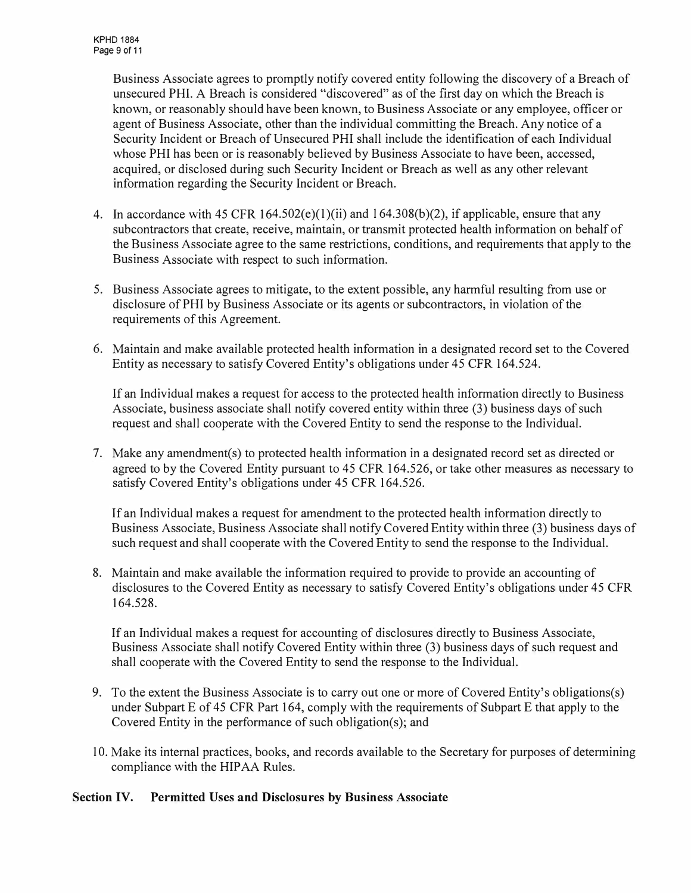Business Associate agrees to promptly notify covered entity following the discovery of a Breach of unsecured PHI. A Breach is considered "discovered" as of the first day on which the Breach is known, or reasonably should have been known, to Business Associate or any employee, officer or agent of Business Associate, other than the individual committing the Breach. Any notice of a Security Incident or Breach of Unsecured PHI shall include the identification of each Individual whose PHI has been or is reasonably believed by Business Associate to have been, accessed, acquired, or disclosed during such Security Incident or Breach as well as any other relevant information regarding the Security Incident or Breach.

- 4. In accordance with 45 CFR 164.502( $e$ )(1)(ii) and 164.308( $b$ )(2), if applicable, ensure that any subcontractors that create, receive, maintain, or transmit protected health information on behalf of the Business Associate agree to the same restrictions, conditions, and requirements that apply to the Business Associate with respect to such information.
- 5. Business Associate agrees to mitigate, to the extent possible, any harmful resulting from use or disclosure of PHI by Business Associate or its agents or subcontractors, in violation of the requirements of this Agreement.
- 6. Maintain and make available protected health information in a designated record set to the Covered Entity as necessary to satisfy Covered Entity's obligations under 45 CFR 164.524.

If an Individual makes a request for access to the protected health information directly to Business Associate, business associate shall notify covered entity within three (3) business days of such request and shall cooperate with the Covered Entity to send the response to the Individual.

7. Make any amendment(s) to protected health information in a designated record set as directed or agreed to by the Covered Entity pursuant to 45 CFR 164.526, or take other measures as necessary to satisfy Covered Entity's obligations under 45 CFR 164.526.

If an Individual makes a request for amendment to the protected health information directly to Business Associate, Business Associate shall notify Covered Entity within three (3) business days of such request and shall cooperate with the Covered Entity to send the response to the Individual.

8. Maintain and make available the information required to provide to provide an accounting of disclosures to the Covered Entity as necessary to satisfy Covered Entity's obligations under 45 CFR 164.528.

If an Individual makes a request for accounting of disclosures directly to Business Associate, Business Associate shall notify Covered Entity within three (3) business days of such request and shall cooperate with the Covered Entity to send the response to the Individual.

- 9. To the extent the Business Associate is to carry out one or more of Covered Entity's obligations(s) under Subpart E of 45 CFR Part 164, comply with the requirements of Subpart E that apply to the Covered Entity in the performance of such obligation(s); and
- 10. Make its internal practices, books, and records available to the Secretary for purposes of determining compliance with the HIPAA Rules.

#### **Section IV. Permitted Uses and Disclosures by Business Associate**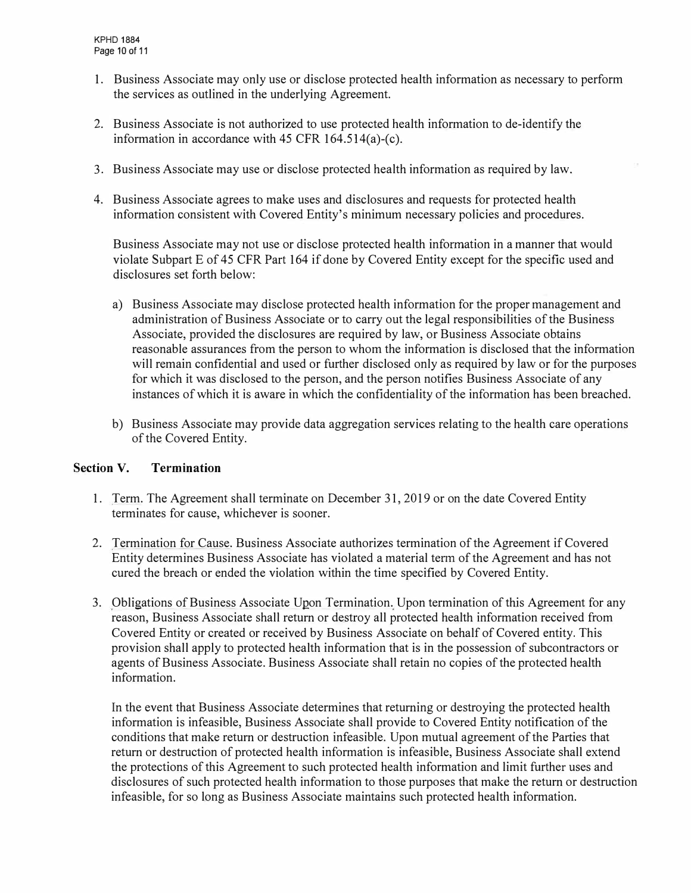- 1. Business Associate may only use or disclose protected health information as necessary to perform the services as outlined in the underlying Agreement.
- 2. Business Associate is not authorized to use protected health information to de-identify the information in accordance with 45 CFR 164.514(a)-(c).
- 3. Business Associate may use or disclose protected health information as required by law.
- 4. Business Associate agrees to make uses and disclosures and requests for protected health information consistent with Covered Entity's minimum necessary policies and procedures.

Business Associate may not use or disclose protected health information in a manner that would violate Subpart E of 45 CFR Part 164 if done by Covered Entity except for the specific used and disclosures set forth below:

- a) Business Associate may disclose protected health information for the proper management and administration of Business Associate or to carry out the legal responsibilities of the Business Associate, provided the disclosures are required by law, or Business Associate obtains reasonable assurances from the person to whom the information is disclosed that the information will remain confidential and used or further disclosed only as required by law or for the purposes for which it was disclosed to the person, and the person notifies Business Associate of any instances of which it is aware in which the confidentiality of the information has been breached.
- b) Business Associate may provide data aggregation services relating to the health care operations of the Covered Entity.

#### **Section V. Termination**

- 1. Term. The Agreement shall terminate on December 31, 2019 or on the date Covered Entity terminates for cause, whichever is sooner.
- 2. Termination for Cause. Business Associate authorizes termination of the Agreement if Covered Entity determines Business Associate has violated a material term of the Agreement and has not cured the breach or ended the violation within the time specified by Covered Entity.
- 3. Obligations of Business Associate Upon Termination. Upon termination of this Agreement for any reason, Business Associate shall return or destroy all protected health information received from Covered Entity or created or received by Business Associate on behalf of Covered entity. This provision shall apply to protected health information that is in the possession of subcontractors or agents of Business Associate. Business Associate shall retain no copies of the protected health information.

In the event that Business Associate determines that returning or destroying the protected health information is infeasible, Business Associate shall provide to Covered Entity notification of the conditions that make return or destruction infeasible. Upon mutual agreement of the Parties that return or destruction of protected health information is infeasible, Business Associate shall extend the protections of this Agreement to such protected health information and limit further uses and disclosures of such protected health information to those purposes that make the return or destruction infeasible, for so long as Business Associate maintains such protected health information.